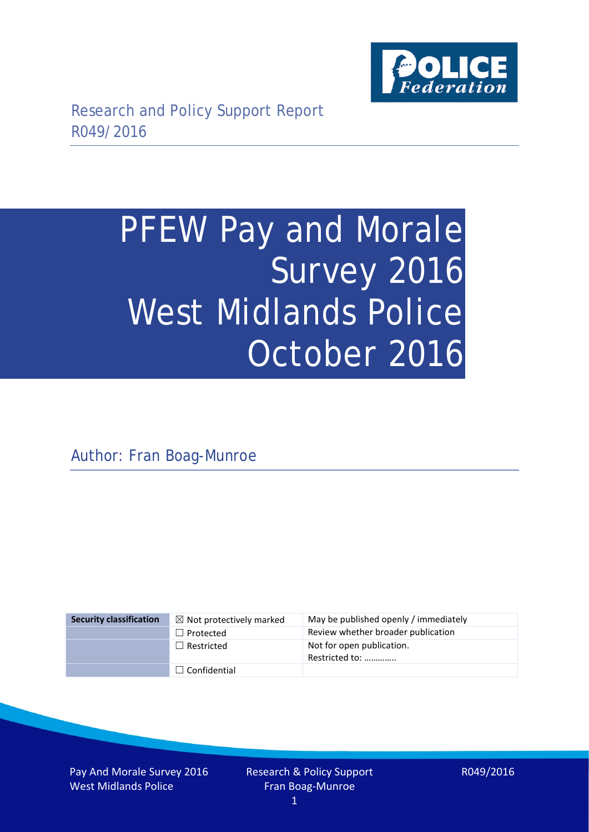

# PFEW Pay and Morale Survey 2016 West Midlands Police October 2016

Author: Fran Boag-Munroe

| <b>Security classification</b> | $\boxtimes$ Not protectively marked | May be published openly / immediately       |
|--------------------------------|-------------------------------------|---------------------------------------------|
|                                | $\Box$ Protected                    | Review whether broader publication          |
|                                | $\Box$ Restricted                   | Not for open publication.<br>Restricted to: |
|                                | $\Box$ Confidential                 |                                             |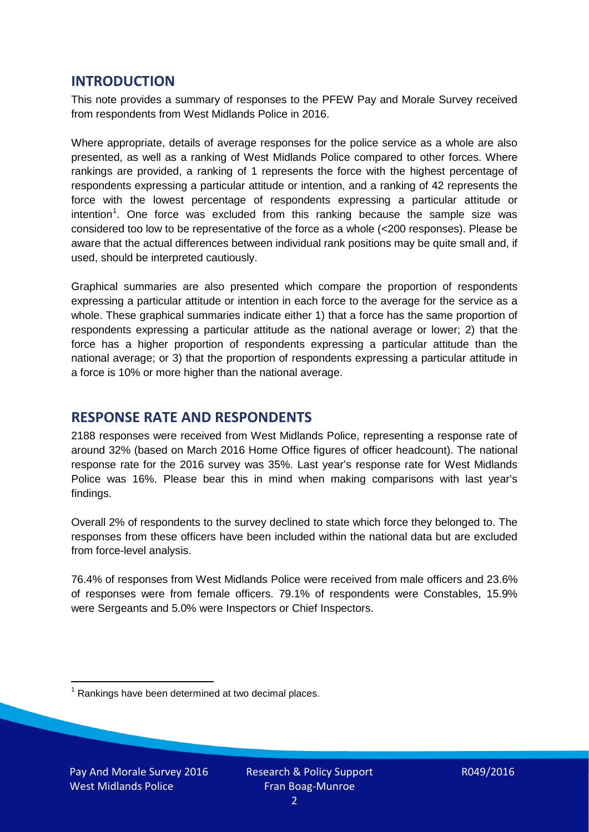## **INTRODUCTION**

This note provides a summary of responses to the PFEW Pay and Morale Survey received from respondents from West Midlands Police in 2016.

Where appropriate, details of average responses for the police service as a whole are also presented, as well as a ranking of West Midlands Police compared to other forces. Where rankings are provided, a ranking of 1 represents the force with the highest percentage of respondents expressing a particular attitude or intention, and a ranking of 42 represents the force with the lowest percentage of respondents expressing a particular attitude or intention<sup>[1](#page-1-0)</sup>. One force was excluded from this ranking because the sample size was considered too low to be representative of the force as a whole (<200 responses). Please be aware that the actual differences between individual rank positions may be quite small and, if used, should be interpreted cautiously.

Graphical summaries are also presented which compare the proportion of respondents expressing a particular attitude or intention in each force to the average for the service as a whole. These graphical summaries indicate either 1) that a force has the same proportion of respondents expressing a particular attitude as the national average or lower; 2) that the force has a higher proportion of respondents expressing a particular attitude than the national average; or 3) that the proportion of respondents expressing a particular attitude in a force is 10% or more higher than the national average.

## **RESPONSE RATE AND RESPONDENTS**

2188 responses were received from West Midlands Police, representing a response rate of around 32% (based on March 2016 Home Office figures of officer headcount). The national response rate for the 2016 survey was 35%. Last year's response rate for West Midlands Police was 16%. Please bear this in mind when making comparisons with last year's findings.

Overall 2% of respondents to the survey declined to state which force they belonged to. The responses from these officers have been included within the national data but are excluded from force-level analysis.

76.4% of responses from West Midlands Police were received from male officers and 23.6% of responses were from female officers. 79.1% of respondents were Constables, 15.9% were Sergeants and 5.0% were Inspectors or Chief Inspectors.

<span id="page-1-0"></span> $1$  Rankings have been determined at two decimal places.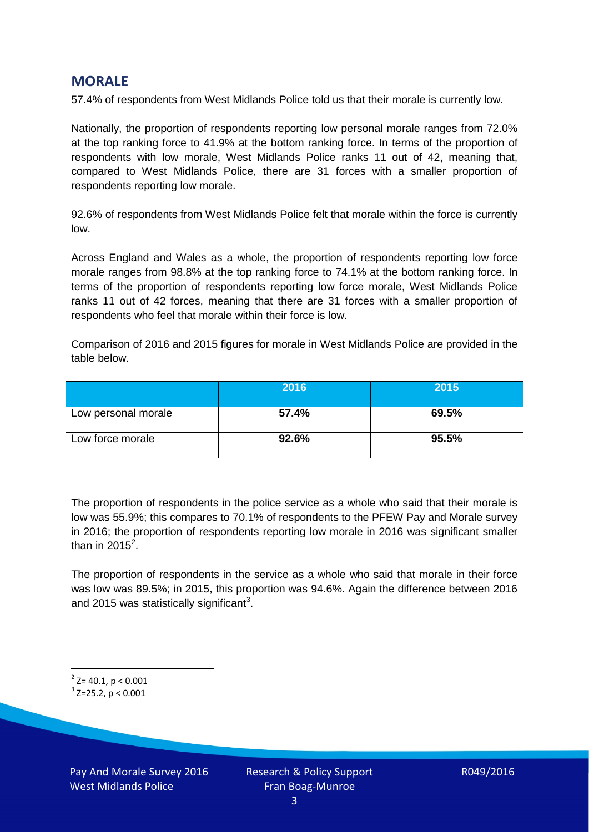## **MORALE**

57.4% of respondents from West Midlands Police told us that their morale is currently low.

Nationally, the proportion of respondents reporting low personal morale ranges from 72.0% at the top ranking force to 41.9% at the bottom ranking force. In terms of the proportion of respondents with low morale, West Midlands Police ranks 11 out of 42, meaning that, compared to West Midlands Police, there are 31 forces with a smaller proportion of respondents reporting low morale.

92.6% of respondents from West Midlands Police felt that morale within the force is currently low.

Across England and Wales as a whole, the proportion of respondents reporting low force morale ranges from 98.8% at the top ranking force to 74.1% at the bottom ranking force. In terms of the proportion of respondents reporting low force morale, West Midlands Police ranks 11 out of 42 forces, meaning that there are 31 forces with a smaller proportion of respondents who feel that morale within their force is low.

Comparison of 2016 and 2015 figures for morale in West Midlands Police are provided in the table below.

|                     | 2016  | 2015  |
|---------------------|-------|-------|
| Low personal morale | 57.4% | 69.5% |
| Low force morale    | 92.6% | 95.5% |

The proportion of respondents in the police service as a whole who said that their morale is low was 55.9%; this compares to 70.1% of respondents to the PFEW Pay and Morale survey in 2016; the proportion of respondents reporting low morale in 2016 was significant smaller than in [2](#page-2-0)015 $^2$ .

The proportion of respondents in the service as a whole who said that morale in their force was low was 89.5%; in 2015, this proportion was 94.6%. Again the difference between 2016 and 2015 was statistically significant<sup>[3](#page-2-1)</sup>.

<span id="page-2-0"></span> $2$ <sup>2</sup> Z= 40.1, p < 0.001

<span id="page-2-1"></span> $3$  Z=25.2, p < 0.001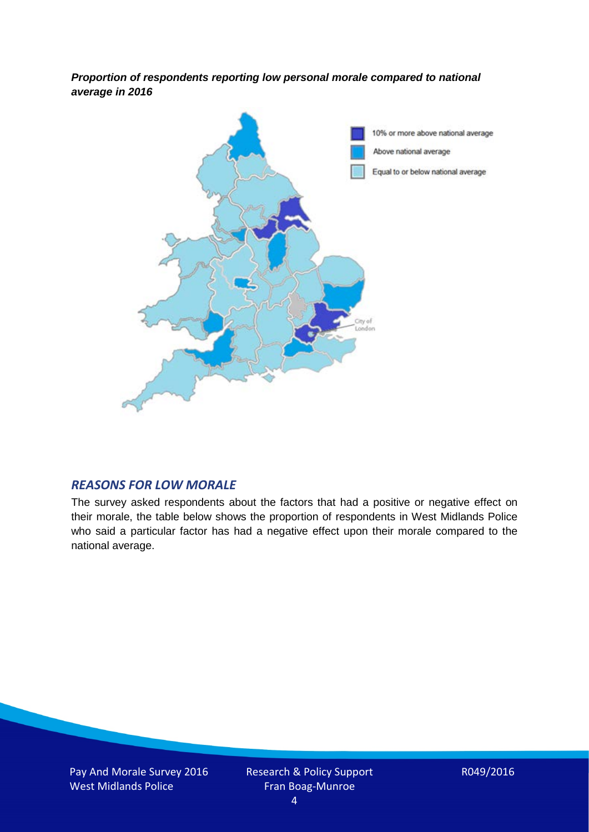*Proportion of respondents reporting low personal morale compared to national average in 2016*



#### *REASONS FOR LOW MORALE*

The survey asked respondents about the factors that had a positive or negative effect on their morale, the table below shows the proportion of respondents in West Midlands Police who said a particular factor has had a negative effect upon their morale compared to the national average.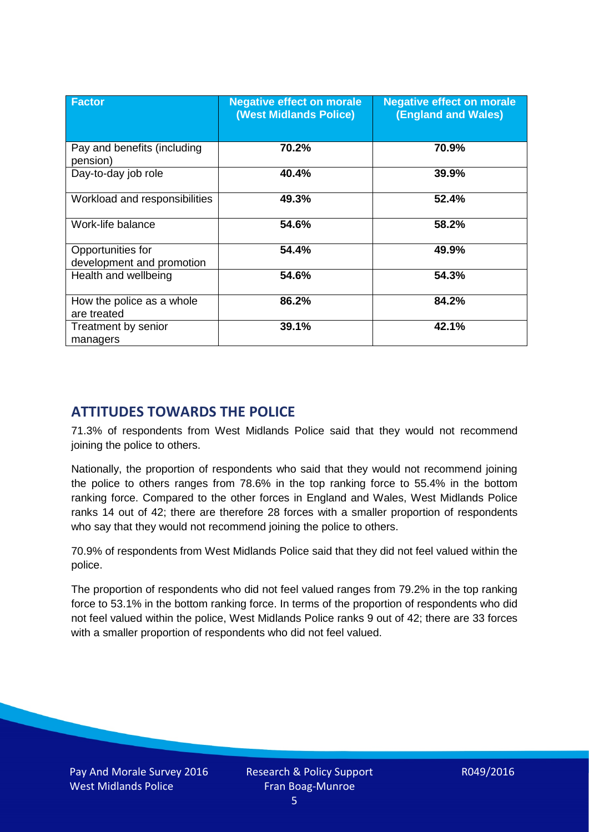| <b>Factor</b>                                  | <b>Negative effect on morale</b><br><b>(West Midlands Police)</b> | <b>Negative effect on morale</b><br><b>(England and Wales)</b> |
|------------------------------------------------|-------------------------------------------------------------------|----------------------------------------------------------------|
| Pay and benefits (including<br>pension)        | 70.2%                                                             | 70.9%                                                          |
| Day-to-day job role                            | 40.4%                                                             | 39.9%                                                          |
| Workload and responsibilities                  | 49.3%                                                             | 52.4%                                                          |
| Work-life balance                              | 54.6%                                                             | 58.2%                                                          |
| Opportunities for<br>development and promotion | 54.4%                                                             | 49.9%                                                          |
| Health and wellbeing                           | 54.6%                                                             | 54.3%                                                          |
| How the police as a whole<br>are treated       | 86.2%                                                             | 84.2%                                                          |
| Treatment by senior<br>managers                | 39.1%                                                             | 42.1%                                                          |

# **ATTITUDES TOWARDS THE POLICE**

71.3% of respondents from West Midlands Police said that they would not recommend joining the police to others.

Nationally, the proportion of respondents who said that they would not recommend joining the police to others ranges from 78.6% in the top ranking force to 55.4% in the bottom ranking force. Compared to the other forces in England and Wales, West Midlands Police ranks 14 out of 42; there are therefore 28 forces with a smaller proportion of respondents who say that they would not recommend joining the police to others.

70.9% of respondents from West Midlands Police said that they did not feel valued within the police.

The proportion of respondents who did not feel valued ranges from 79.2% in the top ranking force to 53.1% in the bottom ranking force. In terms of the proportion of respondents who did not feel valued within the police, West Midlands Police ranks 9 out of 42; there are 33 forces with a smaller proportion of respondents who did not feel valued.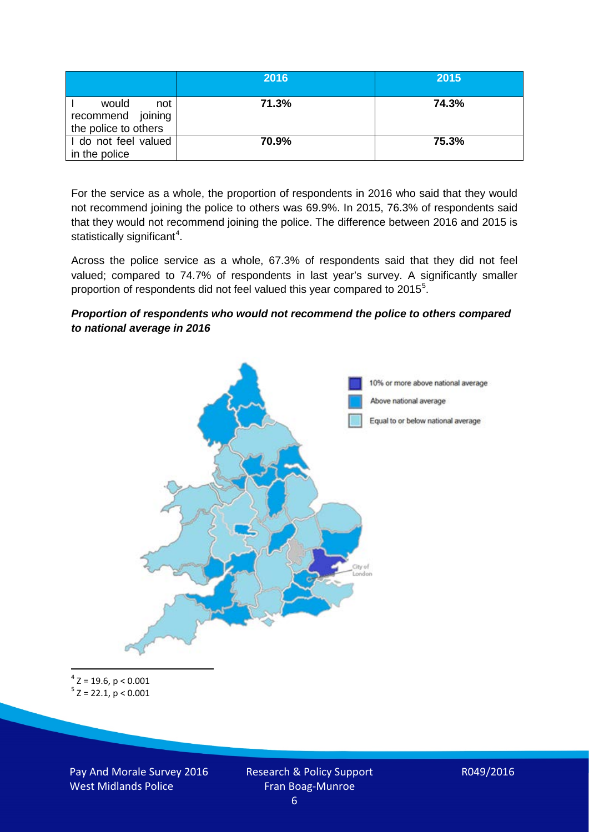|                                                           | 2016  | 2015  |
|-----------------------------------------------------------|-------|-------|
| would<br>not<br>recommend joining<br>the police to others | 71.3% | 74.3% |
| I do not feel valued<br>in the police                     | 70.9% | 75.3% |

For the service as a whole, the proportion of respondents in 2016 who said that they would not recommend joining the police to others was 69.9%. In 2015, 76.3% of respondents said that they would not recommend joining the police. The difference between 2016 and 2015 is statistically significant<sup>[4](#page-5-0)</sup>.

Across the police service as a whole, 67.3% of respondents said that they did not feel valued; compared to 74.7% of respondents in last year's survey. A significantly smaller proportion of respondents did not feel valued this year compared to 201[5](#page-5-1)<sup>5</sup>.

#### *Proportion of respondents who would not recommend the police to others compared to national average in 2016*



<span id="page-5-1"></span><span id="page-5-0"></span> $4$  Z = 19.6, p < 0.001  $5$  Z = 22.1, p < 0.001

Pay And Morale Survey 2016 West Midlands Police

Research & Policy Support Fran Boag-Munroe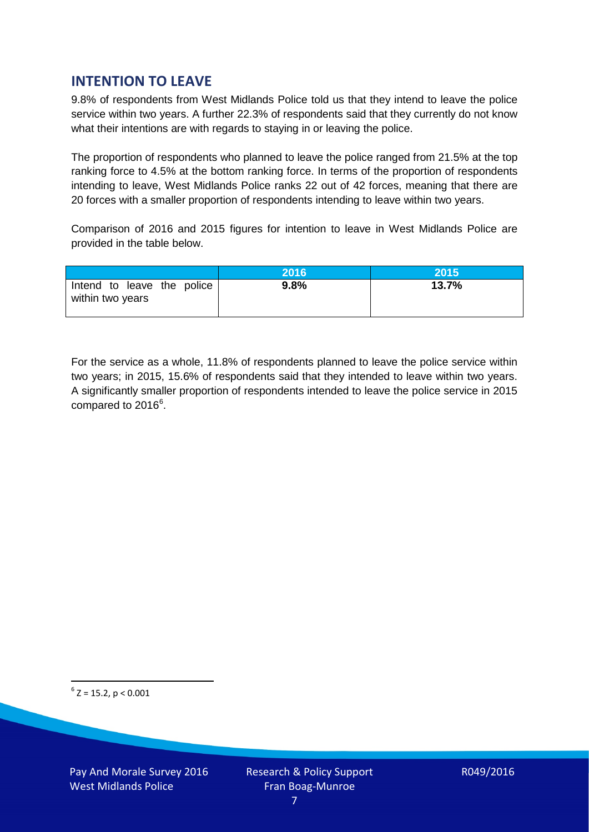# **INTENTION TO LEAVE**

9.8% of respondents from West Midlands Police told us that they intend to leave the police service within two years. A further 22.3% of respondents said that they currently do not know what their intentions are with regards to staying in or leaving the police.

The proportion of respondents who planned to leave the police ranged from 21.5% at the top ranking force to 4.5% at the bottom ranking force. In terms of the proportion of respondents intending to leave, West Midlands Police ranks 22 out of 42 forces, meaning that there are 20 forces with a smaller proportion of respondents intending to leave within two years.

Comparison of 2016 and 2015 figures for intention to leave in West Midlands Police are provided in the table below.

|                                                | 2016 | 2015  |
|------------------------------------------------|------|-------|
| Intend to leave the police<br>within two years | 9.8% | 13.7% |

For the service as a whole, 11.8% of respondents planned to leave the police service within two years; in 2015, 15.6% of respondents said that they intended to leave within two years. A significantly smaller proportion of respondents intended to leave the police service in 2015 compared to 201[6](#page-6-0)<sup>6</sup>.

<span id="page-6-0"></span> $6$  Z = 15.2, p < 0.001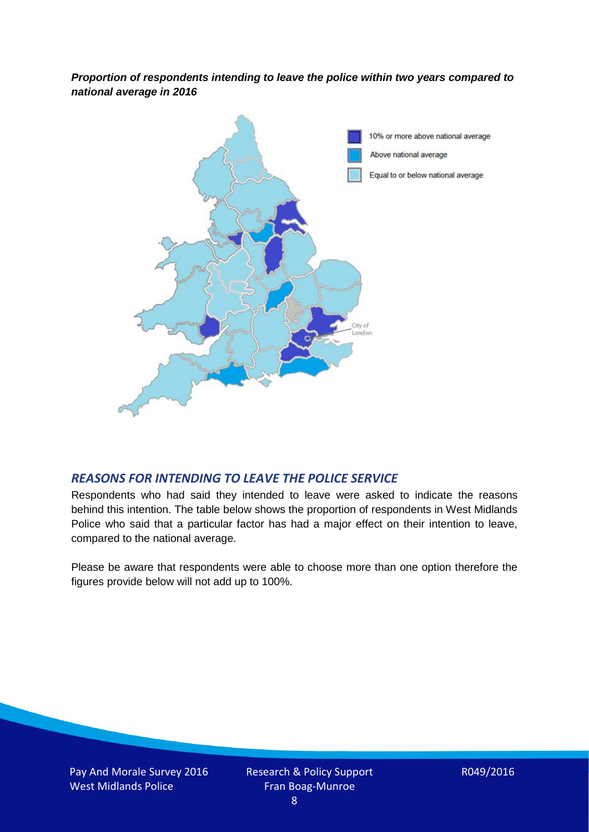*Proportion of respondents intending to leave the police within two years compared to national average in 2016*



### *REASONS FOR INTENDING TO LEAVE THE POLICE SERVICE*

Respondents who had said they intended to leave were asked to indicate the reasons behind this intention. The table below shows the proportion of respondents in West Midlands Police who said that a particular factor has had a major effect on their intention to leave, compared to the national average.

Please be aware that respondents were able to choose more than one option therefore the figures provide below will not add up to 100%.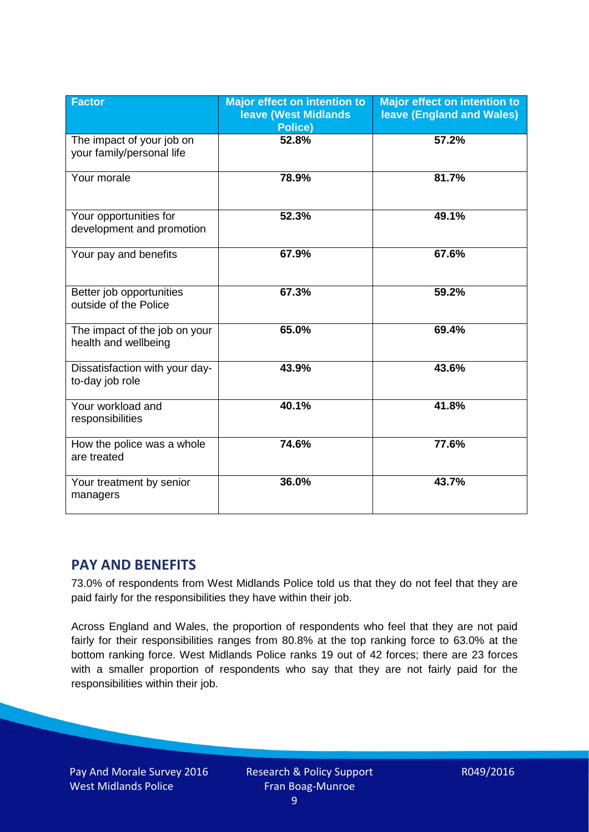| <b>Factor</b>                                          | <b>Major effect on intention to</b><br><b>leave (West Midlands)</b><br><b>Police)</b> | <b>Major effect on intention to</b><br><b>leave (England and Wales)</b> |
|--------------------------------------------------------|---------------------------------------------------------------------------------------|-------------------------------------------------------------------------|
| The impact of your job on<br>your family/personal life | 52.8%                                                                                 | 57.2%                                                                   |
| Your morale                                            | 78.9%                                                                                 | 81.7%                                                                   |
| Your opportunities for<br>development and promotion    | 52.3%                                                                                 | 49.1%                                                                   |
| Your pay and benefits                                  | 67.9%                                                                                 | 67.6%                                                                   |
| Better job opportunities<br>outside of the Police      | 67.3%                                                                                 | 59.2%                                                                   |
| The impact of the job on your<br>health and wellbeing  | 65.0%                                                                                 | 69.4%                                                                   |
| Dissatisfaction with your day-<br>to-day job role      | 43.9%                                                                                 | 43.6%                                                                   |
| Your workload and<br>responsibilities                  | 40.1%                                                                                 | 41.8%                                                                   |
| How the police was a whole<br>are treated              | 74.6%                                                                                 | 77.6%                                                                   |
| Your treatment by senior<br>managers                   | 36.0%                                                                                 | 43.7%                                                                   |

# **PAY AND BENEFITS**

73.0% of respondents from West Midlands Police told us that they do not feel that they are paid fairly for the responsibilities they have within their job.

Across England and Wales, the proportion of respondents who feel that they are not paid fairly for their responsibilities ranges from 80.8% at the top ranking force to 63.0% at the bottom ranking force. West Midlands Police ranks 19 out of 42 forces; there are 23 forces with a smaller proportion of respondents who say that they are not fairly paid for the responsibilities within their job.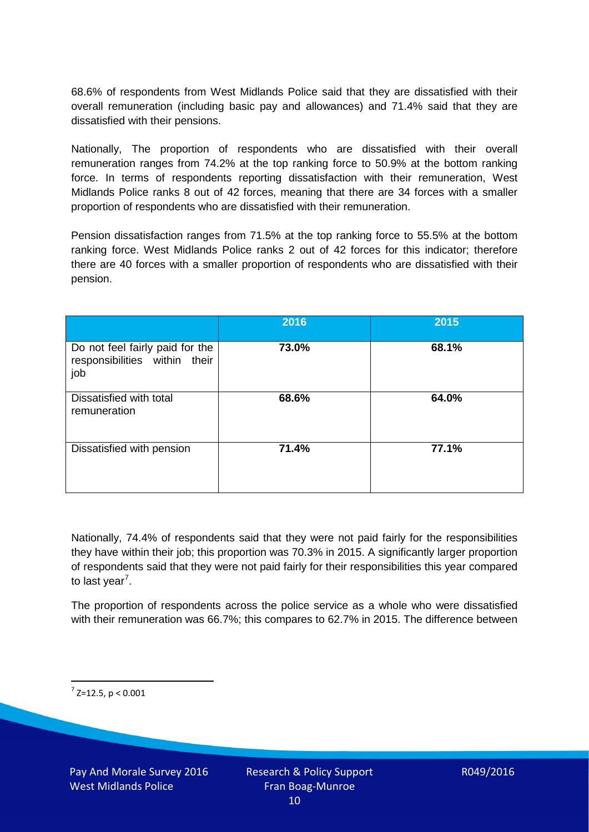68.6% of respondents from West Midlands Police said that they are dissatisfied with their overall remuneration (including basic pay and allowances) and 71.4% said that they are dissatisfied with their pensions.

Nationally, The proportion of respondents who are dissatisfied with their overall remuneration ranges from 74.2% at the top ranking force to 50.9% at the bottom ranking force. In terms of respondents reporting dissatisfaction with their remuneration, West Midlands Police ranks 8 out of 42 forces, meaning that there are 34 forces with a smaller proportion of respondents who are dissatisfied with their remuneration.

Pension dissatisfaction ranges from 71.5% at the top ranking force to 55.5% at the bottom ranking force. West Midlands Police ranks 2 out of 42 forces for this indicator; therefore there are 40 forces with a smaller proportion of respondents who are dissatisfied with their pension.

|                                                                         | 2016  | 2015  |
|-------------------------------------------------------------------------|-------|-------|
| Do not feel fairly paid for the<br>responsibilities within their<br>job | 73.0% | 68.1% |
| Dissatisfied with total<br>remuneration                                 | 68.6% | 64.0% |
| Dissatisfied with pension                                               | 71.4% | 77.1% |

Nationally, 74.4% of respondents said that they were not paid fairly for the responsibilities they have within their job; this proportion was 70.3% in 2015. A significantly larger proportion of respondents said that they were not paid fairly for their responsibilities this year compared to last year<sup>[7](#page-9-0)</sup>.

The proportion of respondents across the police service as a whole who were dissatisfied with their remuneration was 66.7%; this compares to 62.7% in 2015. The difference between

<span id="page-9-0"></span> $7$  Z=12.5, p < 0.001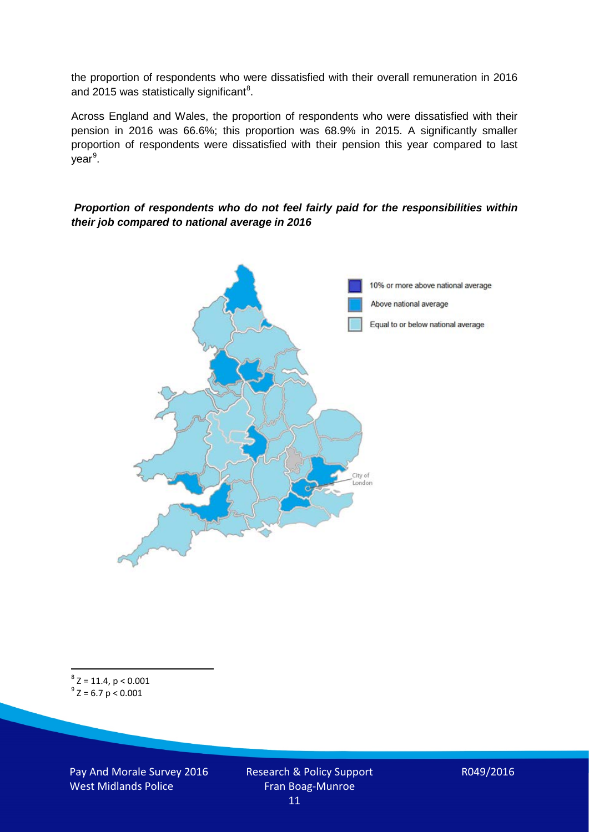the proportion of respondents who were dissatisfied with their overall remuneration in 2016 and 2015 was statistically significant<sup>[8](#page-10-0)</sup>.

Across England and Wales, the proportion of respondents who were dissatisfied with their pension in 2016 was 66.6%; this proportion was 68.9% in 2015. A significantly smaller proportion of respondents were dissatisfied with their pension this year compared to last year<sup>[9](#page-10-1)</sup>.

#### *Proportion of respondents who do not feel fairly paid for the responsibilities within their job compared to national average in 2016*



<span id="page-10-1"></span><span id="page-10-0"></span> $8$  Z = 11.4, p < 0.001  $9^{\circ}$  Z = 6.7 p < 0.001